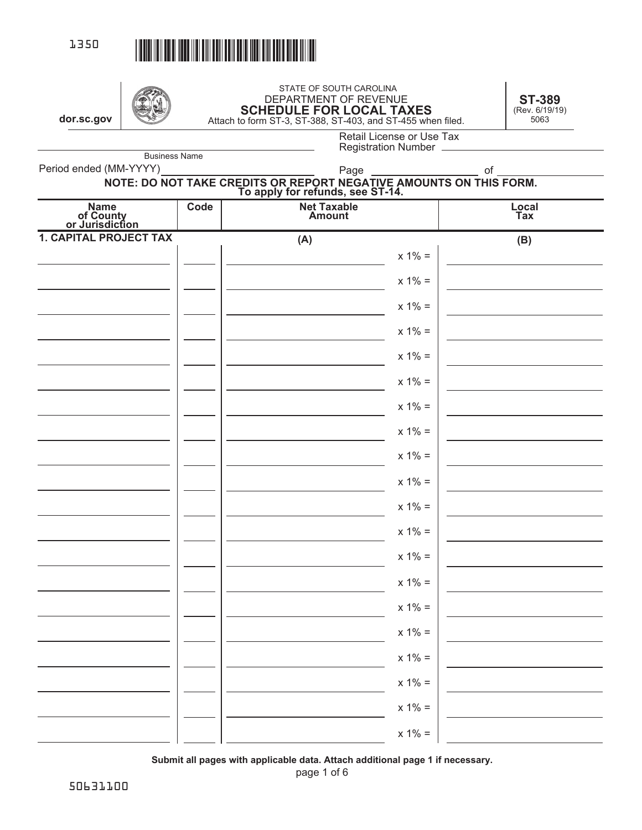

# STATE OF SOUTH CAROLINA<br>DEPARTMENT OF REVENUE DEPARTMENT OF REVENUE **SCHEDULE FOR LOCAL TAXES**  Attach to form ST-3, ST-388, ST-403, and ST-455 when filed. **dor.sc.gov** 5063

**ST-389**  (Rev. 6/19/19)

Business Name

| 388. ST-403. and ST-455 when Illed |  |
|------------------------------------|--|
| Retail License or Use Tax          |  |
| Desistantina Numeran               |  |

Registration Number

Period ended (MM-YYYY)

### **NOTE: DO NOT TAKE CREDITS OR REPORT NEGATIVE AMOUNTS ON THIS FORM. To apply for refunds, see ST-14.** Page \_\_\_\_\_\_\_\_\_\_\_\_\_\_\_\_\_\_\_\_\_\_ of

| Name<br>of County<br>or Jurisdiction | Code | <b>Net Taxable<br/>Amount</b> | Local<br>Tax                 |
|--------------------------------------|------|-------------------------------|------------------------------|
| <b>1. CAPITAL PROJECT TAX</b>        |      | (A)                           | $\qquad \qquad \textbf{(B)}$ |
|                                      |      |                               | $x 1% =$                     |
|                                      |      |                               | $x 1% =$                     |
|                                      |      |                               | $x 1\% =$                    |
|                                      |      |                               | $x 1\% =$                    |
|                                      |      |                               | $x 1% =$                     |
|                                      |      |                               | $x 1\% =$                    |
|                                      |      |                               | $x 1\% =$                    |
|                                      |      |                               | $x 1% =$                     |
|                                      |      |                               | $x 1\% =$                    |
|                                      |      |                               | $x 1% =$                     |
|                                      |      |                               | $x 1\% =$                    |
|                                      |      |                               | $x 1% =$                     |
|                                      |      |                               | $x 1\% =$                    |
|                                      |      |                               | $x 1% =$                     |
|                                      |      |                               | $x 1% =$                     |
|                                      |      |                               | $x 1% =$                     |
|                                      |      |                               | $x 1\% =$                    |
|                                      |      |                               | $x 1\% =$                    |
|                                      |      |                               |                              |
|                                      |      |                               | $x 1\% =$                    |
|                                      |      |                               | $x 1\% =$                    |

**Submit all pages with applicable data. Attach additional page 1 if necessary.**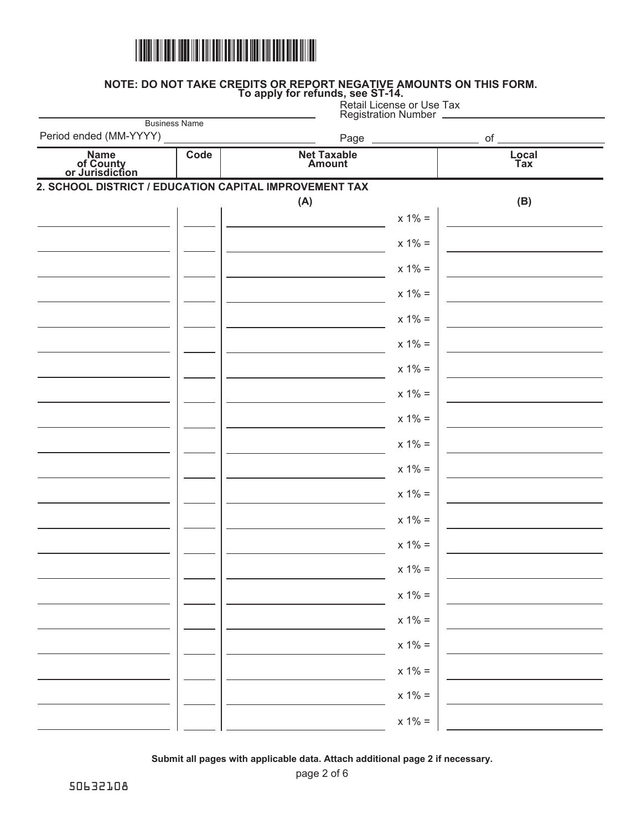

**NOTE: DO NOT TAKE CREDITS OR REPORT NEGATIVE AMOUNTS ON THIS FORM. To apply for refunds, see ST-14.**

 $x 1% =$  $x 1% =$  $x 1% =$  $x 1% =$  $x 1\% =$  $x 1\% =$  $x 1% =$  $x 1% =$  $x 1% =$  $x 1% =$  $x 1% =$  $x 1% =$  $x 1% =$  $x 1% =$  $x 1% =$  $x 1% =$  $x 1% =$  $x 1% =$ **(A) (B)**  $x 1% =$  $x 1% =$  $x 1% =$ **2. SCHOOL DISTRICT / EDUCATION CAPITAL IMPROVEMENT TAX Code Net Taxable Amount Local Tax Name of County or Jurisdiction** Business Name Retail License or Use Tax Registration Number Period ended (MM-YYYY) Page of

**Submit all pages with applicable data. Attach additional page 2 if necessary.**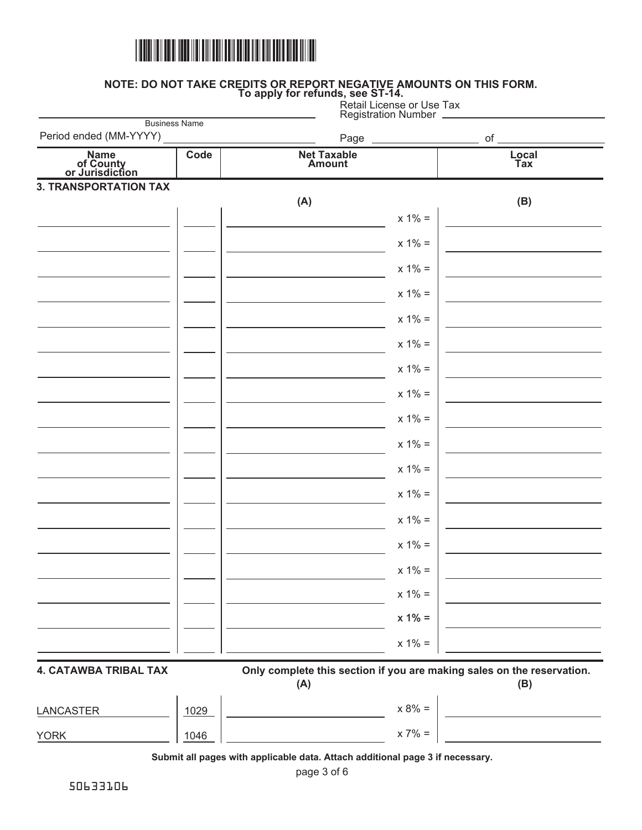

#### **NOTE: DO NOT TAKE CREDITS OR REPORT NEGATIVE AMOUNTS ON THIS FORM. To apply for refunds, see ST-14.**

|                              | <b>Registration Number</b>                                          | Retail License or Use Tax                                                                               |
|------------------------------|---------------------------------------------------------------------|---------------------------------------------------------------------------------------------------------|
|                              | Page                                                                | of                                                                                                      |
| Code                         | <b>Net Taxable</b><br><b>Amount</b>                                 | Local<br>Tax                                                                                            |
| <b>3. TRANSPORTATION TAX</b> |                                                                     |                                                                                                         |
|                              |                                                                     | (B)                                                                                                     |
|                              |                                                                     |                                                                                                         |
|                              |                                                                     |                                                                                                         |
|                              | $x 1\% =$                                                           |                                                                                                         |
|                              | $x 1\% =$                                                           |                                                                                                         |
|                              | $x 1\% =$                                                           |                                                                                                         |
|                              | $x 1\% =$                                                           |                                                                                                         |
|                              | $x 1\% =$                                                           |                                                                                                         |
|                              | $x 1\% =$                                                           |                                                                                                         |
|                              | $x 1\% =$                                                           |                                                                                                         |
|                              | $x 1\% =$                                                           |                                                                                                         |
|                              | $x 1\% =$                                                           |                                                                                                         |
|                              | $x 1\% =$                                                           |                                                                                                         |
|                              | $x 1\% =$                                                           |                                                                                                         |
|                              | $x 1\% =$                                                           |                                                                                                         |
|                              | $x 1% =$                                                            |                                                                                                         |
|                              | $x 1% =$                                                            |                                                                                                         |
|                              | $x 1% =$                                                            |                                                                                                         |
|                              | $x 1% =$                                                            |                                                                                                         |
| <b>4. CATAWBA TRIBAL TAX</b> | (A)                                                                 | (B)                                                                                                     |
| 1029                         | $\overline{\phantom{a}}$ . The contract of $\overline{\phantom{a}}$ | $x 8\% =$<br>$x 7\% =$                                                                                  |
|                              |                                                                     |                                                                                                         |
|                              | <b>Business Name</b>                                                | (A)<br>$x 1\% =$<br>$x 1\% =$<br>Only complete this section if you are making sales on the reservation. |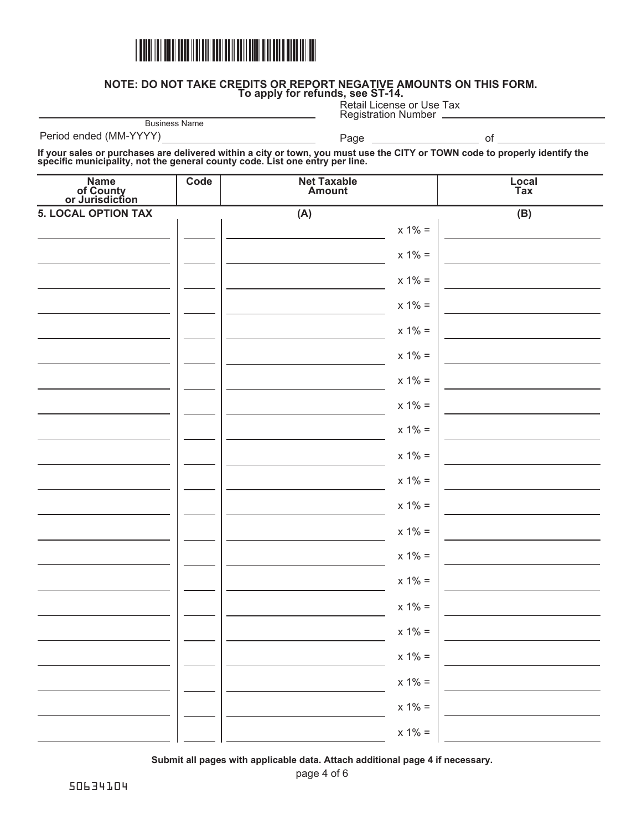

**NOTE: DO NOT TAKE CREDITS OR REPORT NEGATIVE AMOUNTS ON THIS FORM.** 

**To apply for refunds, see ST-14.** Retail License or Use Tax

|                                                                                                                                                                                                             |                      |                                     | <b>Registration Number</b>                                                                                           |              |
|-------------------------------------------------------------------------------------------------------------------------------------------------------------------------------------------------------------|----------------------|-------------------------------------|----------------------------------------------------------------------------------------------------------------------|--------------|
| Period ended (MM-YYYY)                                                                                                                                                                                      | <b>Business Name</b> | Page                                | <u> 1999 - Johann Barbara, politik eta politik eta politik eta politik eta politik eta politik eta politik eta p</u> | $of_$        |
| If your sales or purchases are delivered within a city or town, you must use the CITY or TOWN code to properly identify the<br>specific municipality, not the general county code. List one entry per line. |                      |                                     |                                                                                                                      |              |
| Name<br>of County<br>or Jurisdiction                                                                                                                                                                        | Code                 | <b>Net Taxable</b><br><b>Amount</b> |                                                                                                                      | Local<br>Tax |
| <b>5. LOCAL OPTION TAX</b>                                                                                                                                                                                  |                      | (A)                                 |                                                                                                                      | (B)          |
|                                                                                                                                                                                                             |                      |                                     | $x 1\% =$                                                                                                            |              |
|                                                                                                                                                                                                             |                      |                                     | $x 1\% =$                                                                                                            |              |
|                                                                                                                                                                                                             |                      |                                     | $x 1\% =$                                                                                                            |              |
|                                                                                                                                                                                                             |                      |                                     | $x 1\% =$                                                                                                            |              |
|                                                                                                                                                                                                             |                      |                                     | $x 1\% =$                                                                                                            |              |
|                                                                                                                                                                                                             |                      |                                     | $x 1\% =$                                                                                                            |              |
|                                                                                                                                                                                                             |                      |                                     | $x 1\% =$                                                                                                            |              |
|                                                                                                                                                                                                             |                      |                                     | $x 1\% =$                                                                                                            |              |
|                                                                                                                                                                                                             |                      |                                     | $x 1\% =$                                                                                                            |              |
|                                                                                                                                                                                                             |                      |                                     | $x 1\% =$                                                                                                            |              |
|                                                                                                                                                                                                             |                      |                                     | $x 1\% =$                                                                                                            |              |
|                                                                                                                                                                                                             |                      |                                     | $x 1\% =$                                                                                                            |              |
|                                                                                                                                                                                                             |                      |                                     | $x 1\% =$                                                                                                            |              |
|                                                                                                                                                                                                             |                      |                                     | $x 1\% =$                                                                                                            |              |
|                                                                                                                                                                                                             |                      |                                     | $x 1% =$                                                                                                             |              |
|                                                                                                                                                                                                             |                      |                                     | $x 1% =$                                                                                                             |              |
|                                                                                                                                                                                                             |                      |                                     | $x 1\% =$                                                                                                            |              |
|                                                                                                                                                                                                             |                      |                                     | $x 1\% =$                                                                                                            |              |
|                                                                                                                                                                                                             |                      |                                     | $x 1% =$                                                                                                             |              |

page 4 of 6 **Submit all pages with applicable data. Attach additional page 4 if necessary.**

 $x 1% =$ 

 $x 1% =$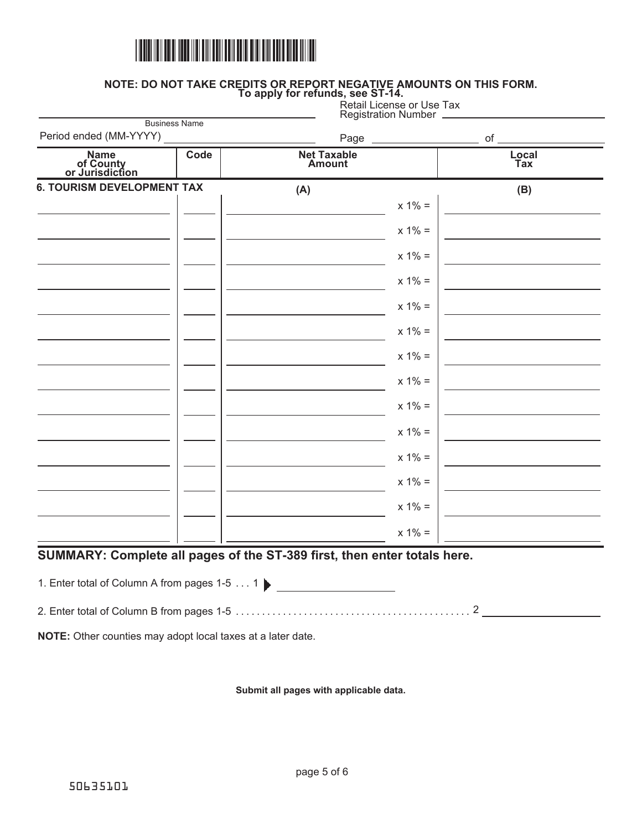

#### **NOTE: DO NOT TAKE CREDITS OR REPORT NEGATIVE AMOUNTS ON THIS FORM. To apply for refunds, see ST-14.**

|  | ) apply for refunds, see ST-14. |                           |  |  |
|--|---------------------------------|---------------------------|--|--|
|  |                                 | Retail License or Use Tax |  |  |

|                                      |                      |                              | <b>Registration Number</b> |              |
|--------------------------------------|----------------------|------------------------------|----------------------------|--------------|
| Period ended (MM-YYYY)               | <b>Business Name</b> |                              | Page ______________        | $\circ f$    |
| Name<br>of County<br>or Jurisdiction | Code                 | <b>Net Taxable</b><br>Amount |                            | Local<br>Tax |
| <b>6. TOURISM DEVELOPMENT TAX</b>    |                      | (A)                          |                            | (B)          |
|                                      |                      |                              | $x 1\% =$                  |              |
|                                      |                      |                              | $x 1\% =$                  |              |
|                                      |                      |                              | $x 1\% =$                  |              |
|                                      |                      |                              | $x 1\% =$                  |              |
|                                      |                      |                              | $x 1\% =$                  |              |
|                                      |                      |                              | $x 1\% =$                  |              |
|                                      |                      |                              | $x 1\% =$                  |              |
|                                      |                      |                              | $x 1\% =$                  |              |
|                                      |                      |                              | $x 1\% =$                  |              |
|                                      |                      |                              | $x 1\% =$                  |              |
|                                      |                      |                              | $x 1% =$                   |              |
|                                      |                      |                              | $x 1\% =$                  |              |
|                                      |                      |                              | $x 1\% =$                  |              |
|                                      |                      |                              | $x 1\% =$                  |              |

# **SUMMARY: Complete all pages of the ST-389 first, then enter totals here.**

1. Enter total of Column A from pages 1-5 . . . 1  $\blacktriangleright$ 

2 2. Enter total of Column B from pages 1-5 .............................................

**NOTE:** Other counties may adopt local taxes at a later date.

**Submit all pages with applicable data.**